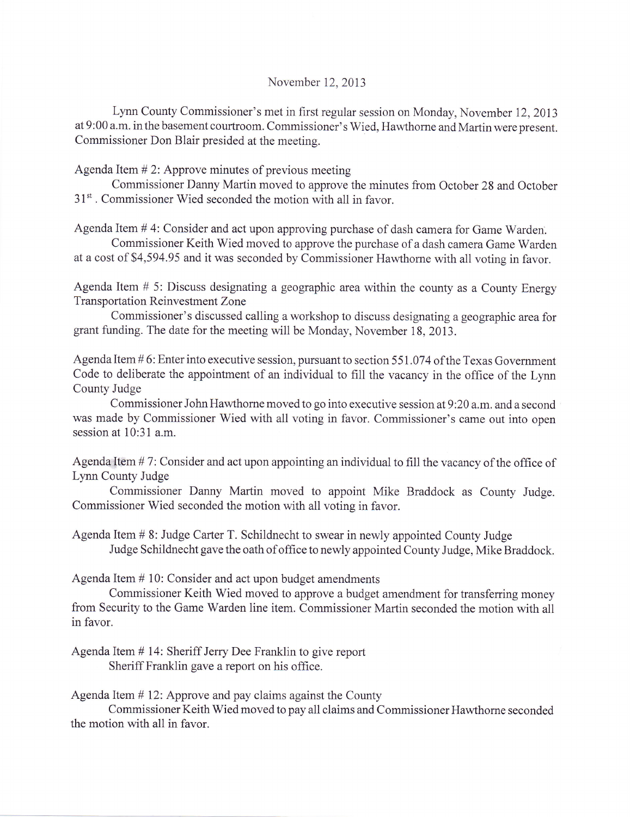## November 12,2013

Lynn County Commissioner's met in first regular session on Monday, November 12,2013 at 9:00 a.m. in the basement courtroom. Commissioner' s Wied, Hawthome and Martin were present. Commissioner Don Blair presided at the meeting.

Agenda Item # 2: Approve minutes of previous meeting

Commissioner Danny Martin moved to approve the minutes from October 28 and October 31<sup>st</sup>. Commissioner Wied seconded the motion with all in favor.

Agenda Item # 4: Consider and act upon approving purchase of dash camera for Game Warden.

Commissioner Keith Wied moved to approve the purchase of a dash camera Game Warden at a cost of \$4,594.95 and it was seconded by Commissioner Hawthorne with all voting in favor.

Agenda Item # 5: Discuss designating a geographic area within the county as a County Energy Transportation Reinvestment Zone

Commissioner's discussed calling a workshop to discuss designating a geographic area for grant funding. The date for the meeting will be Monday, November 18, 2013.

Agenda Item # 6: Enter into executive session, pursuant to section 551.074 of the Texas Government Code to deliberate the appointment of an individual to fill the vacancy in the office of the Lynn County Judge

Commissioner John Hawthome moved to go into executive session at9:20 a.m. and a second was made by Commissioner Wied with all voting in favor. Commissioner's came out into open session at 10:31 a.m.

Agenda Item # 7: Consider and act upon appointing an individual to fill the vacancy of the office of Lynn County Judge

Commissioner Danny Martin moved to appoint Mike Braddock as County Judge. Commissioner Wied seconded the motion with all voting in favor.

Agenda Item # 8: Judge Carter T. Schildnecht to swear in newly appointed County Judge Judge Schildnecht gave the oath of office to newly appointed County Judge, Mike Braddock.

Agenda Item # 10: Consider and act upon budget amendments

Commissioner Keith Wied moved to approve a budget amendment for transferring money from Security to the Game Warden line item. Commissioner Martin seconded the motion with all in favor.

Agenda Item # 14: Sheriff Jerry Dee Franklin to give report Sheriff Franklin gave a report on his office.

Agenda Item # 12: Approve and pay claims against the County

Commissioner Keith Wied moved to pay all claims and Commissioner Hawthorne seconded the motion with all in favor.